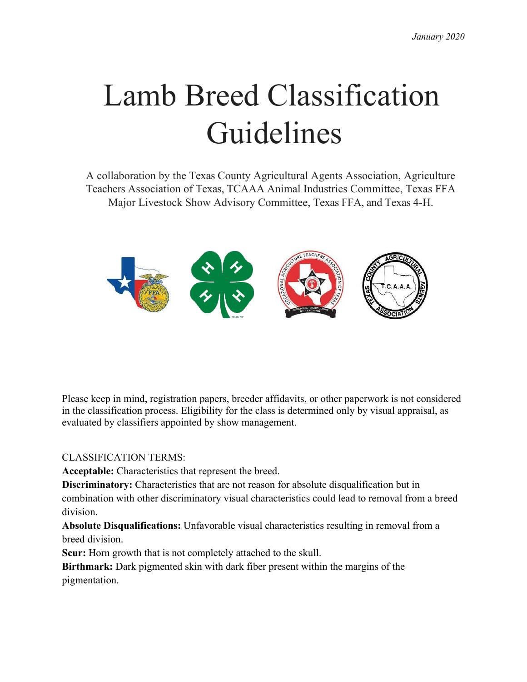# Lamb Breed Classification Guidelines

A collaboration by the Texas County Agricultural Agents Association, Agriculture Teachers Association of Texas, TCAAA Animal Industries Committee, Texas FFA Major Livestock Show Advisory Committee, Texas FFA, and Texas 4-H.



Please keep in mind, registration papers, breeder affidavits, or other paperwork is not considered in the classification process. Eligibility for the class is determined only by visual appraisal, as evaluated by classifiers appointed by show management.

CLASSIFICATION TERMS:

**Acceptable:** Characteristics that represent the breed.

**Discriminatory:** Characteristics that are not reason for absolute disqualification but in combination with other discriminatory visual characteristics could lead to removal from a breed division.

**Absolute Disqualifications:** Unfavorable visual characteristics resulting in removal from a breed division.

**Scur:** Horn growth that is not completely attached to the skull.

**Birthmark:** Dark pigmented skin with dark fiber present within the margins of the pigmentation.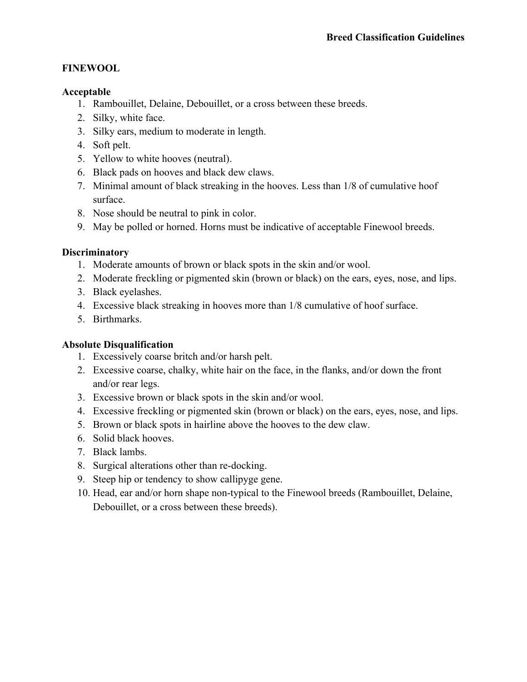#### **FINEWOOL**

#### **Acceptable**

- 1. Rambouillet, Delaine, Debouillet, or a cross between these breeds.
- 2. Silky, white face.
- 3. Silky ears, medium to moderate in length.
- 4. Soft pelt.
- 5. Yellow to white hooves (neutral).
- 6. Black pads on hooves and black dew claws.
- 7. Minimal amount of black streaking in the hooves. Less than 1/8 of cumulative hoof surface.
- 8. Nose should be neutral to pink in color.
- 9. May be polled or horned. Horns must be indicative of acceptable Finewool breeds.

## **Discriminatory**

- 1. Moderate amounts of brown or black spots in the skin and/or wool.
- 2. Moderate freckling or pigmented skin (brown or black) on the ears, eyes, nose, and lips.
- 3. Black eyelashes.
- 4. Excessive black streaking in hooves more than 1/8 cumulative of hoof surface.
- 5. Birthmarks.

- 1. Excessively coarse britch and/or harsh pelt.
- 2. Excessive coarse, chalky, white hair on the face, in the flanks, and/or down the front and/or rear legs.
- 3. Excessive brown or black spots in the skin and/or wool.
- 4. Excessive freckling or pigmented skin (brown or black) on the ears, eyes, nose, and lips.
- 5. Brown or black spots in hairline above the hooves to the dew claw.
- 6. Solid black hooves.
- 7. Black lambs.
- 8. Surgical alterations other than re-docking.
- 9. Steep hip or tendency to show callipyge gene.
- 10. Head, ear and/or horn shape non-typical to the Finewool breeds (Rambouillet, Delaine, Debouillet, or a cross between these breeds).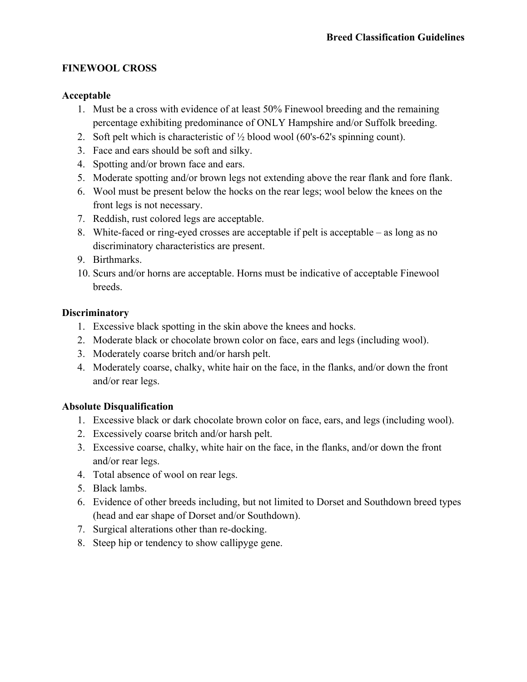## **FINEWOOL CROSS**

## **Acceptable**

- 1. Must be a cross with evidence of at least 50% Finewool breeding and the remaining percentage exhibiting predominance of ONLY Hampshire and/or Suffolk breeding.
- 2. Soft pelt which is characteristic of  $\frac{1}{2}$  blood wool (60's-62's spinning count).
- 3. Face and ears should be soft and silky.
- 4. Spotting and/or brown face and ears.
- 5. Moderate spotting and/or brown legs not extending above the rear flank and fore flank.
- 6. Wool must be present below the hocks on the rear legs; wool below the knees on the front legs is not necessary.
- 7. Reddish, rust colored legs are acceptable.
- 8. White-faced or ring-eyed crosses are acceptable if pelt is acceptable as long as no discriminatory characteristics are present.
- 9. Birthmarks.
- 10. Scurs and/or horns are acceptable. Horns must be indicative of acceptable Finewool breeds.

## **Discriminatory**

- 1. Excessive black spotting in the skin above the knees and hocks.
- 2. Moderate black or chocolate brown color on face, ears and legs (including wool).
- 3. Moderately coarse britch and/or harsh pelt.
- 4. Moderately coarse, chalky, white hair on the face, in the flanks, and/or down the front and/or rear legs.

- 1. Excessive black or dark chocolate brown color on face, ears, and legs (including wool).
- 2. Excessively coarse britch and/or harsh pelt.
- 3. Excessive coarse, chalky, white hair on the face, in the flanks, and/or down the front and/or rear legs.
- 4. Total absence of wool on rear legs.
- 5. Black lambs.
- 6. Evidence of other breeds including, but not limited to Dorset and Southdown breed types (head and ear shape of Dorset and/or Southdown).
- 7. Surgical alterations other than re-docking.
- 8. Steep hip or tendency to show callipyge gene.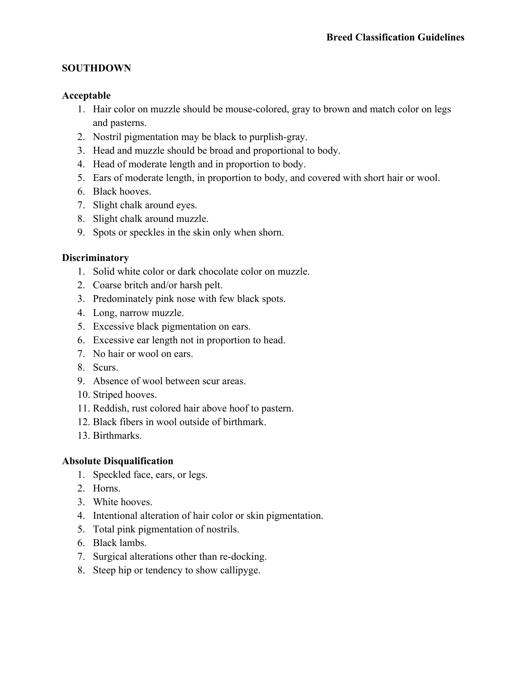## **SOUTHDOWN**

## **Acceptable**

- 1. Hair color on muzzle should be mouse-colored, gray to brown and match color on legs and pasterns.
- 2. Nostril pigmentation may be black to purplish-gray.
- 3. Head and muzzle should be broad and proportional to body.
- 4. Head of moderate length and in proportion to body.
- 5. Ears of moderate length, in proportion to body, and covered with short hair or wool.
- 6. Black hooves.
- 7. Slight chalk around eyes.
- 8. Slight chalk around muzzle.
- 9. Spots or speckles in the skin only when shorn.

#### **Discriminatory**

- 1. Solid white color or dark chocolate color on muzzle.
- 2. Coarse britch and/or harsh pelt.
- 3. Predominately pink nose with few black spots.
- 4. Long, narrow muzzle.
- 5. Excessive black pigmentation on ears.
- 6. Excessive ear length not in proportion to head.
- 7. No hair or wool on ears.
- 8. Scurs.
- 9. Absence of wool between scur areas.
- 10. Striped hooves.
- 11. Reddish, rust colored hair above hoof to pastern.
- 12. Black fibers in wool outside of birthmark.
- 13. Birthmarks.

- 1. Speckled face, ears, or legs.
- 2. Horns.
- 3. White hooves.
- 4. Intentional alteration of hair color or skin pigmentation.
- 5. Total pink pigmentation of nostrils.
- 6. Black lambs.
- 7. Surgical alterations other than re-docking.
- 8. Steep hip or tendency to show callipyge.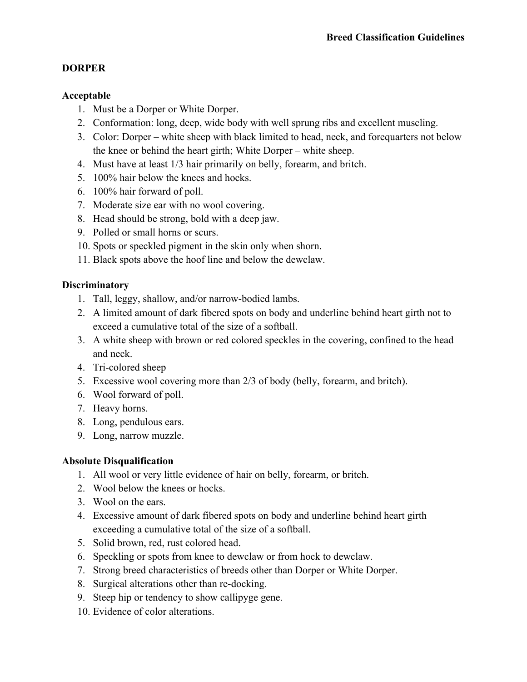## **DORPER**

#### **Acceptable**

- 1. Must be a Dorper or White Dorper.
- 2. Conformation: long, deep, wide body with well sprung ribs and excellent muscling.
- 3. Color: Dorper white sheep with black limited to head, neck, and forequarters not below the knee or behind the heart girth; White Dorper – white sheep.
- 4. Must have at least 1/3 hair primarily on belly, forearm, and britch.
- 5. 100% hair below the knees and hocks.
- 6. 100% hair forward of poll.
- 7. Moderate size ear with no wool covering.
- 8. Head should be strong, bold with a deep jaw.
- 9. Polled or small horns or scurs.
- 10. Spots or speckled pigment in the skin only when shorn.
- 11. Black spots above the hoof line and below the dewclaw.

#### **Discriminatory**

- 1. Tall, leggy, shallow, and/or narrow-bodied lambs.
- 2. A limited amount of dark fibered spots on body and underline behind heart girth not to exceed a cumulative total of the size of a softball.
- 3. A white sheep with brown or red colored speckles in the covering, confined to the head and neck.
- 4. Tri-colored sheep
- 5. Excessive wool covering more than 2/3 of body (belly, forearm, and britch).
- 6. Wool forward of poll.
- 7. Heavy horns.
- 8. Long, pendulous ears.
- 9. Long, narrow muzzle.

- 1. All wool or very little evidence of hair on belly, forearm, or britch.
- 2. Wool below the knees or hocks.
- 3. Wool on the ears.
- 4. Excessive amount of dark fibered spots on body and underline behind heart girth exceeding a cumulative total of the size of a softball.
- 5. Solid brown, red, rust colored head.
- 6. Speckling or spots from knee to dewclaw or from hock to dewclaw.
- 7. Strong breed characteristics of breeds other than Dorper or White Dorper.
- 8. Surgical alterations other than re-docking.
- 9. Steep hip or tendency to show callipyge gene.
- 10. Evidence of color alterations.